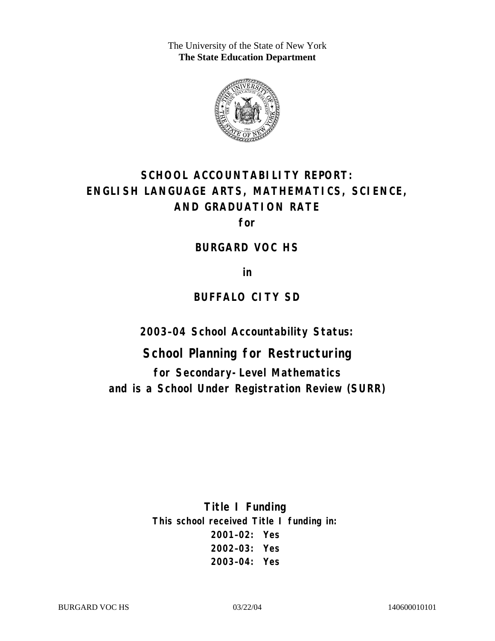The University of the State of New York **The State Education Department** 



# **SCHOOL ACCOUNTABILITY REPORT: ENGLISH LANGUAGE ARTS, MATHEMATICS, SCIENCE, AND GRADUATION RATE**

**for** 

### **BURGARD VOC HS**

**in** 

### **BUFFALO CITY SD**

**2003–04 School Accountability Status:** 

**School Planning for Restructuring for Secondary-Level Mathematics and is a School Under Registration Review (SURR)**

> **Title I Funding This school received Title I funding in: 2001–02: Yes 2002–03: Yes 2003–04: Yes**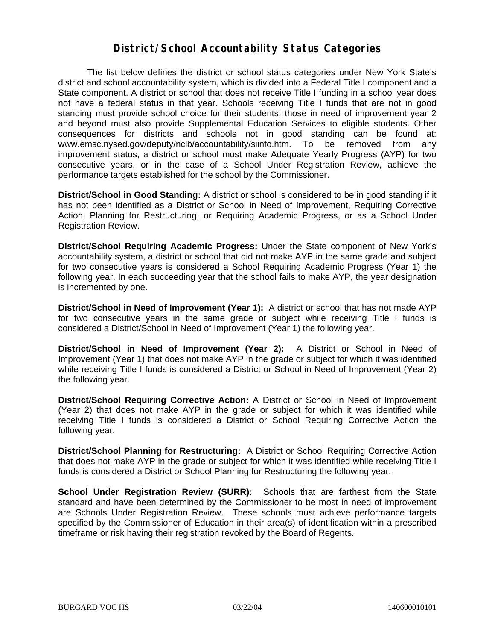### **District/School Accountability Status Categories**

The list below defines the district or school status categories under New York State's district and school accountability system, which is divided into a Federal Title I component and a State component. A district or school that does not receive Title I funding in a school year does not have a federal status in that year. Schools receiving Title I funds that are not in good standing must provide school choice for their students; those in need of improvement year 2 and beyond must also provide Supplemental Education Services to eligible students. Other consequences for districts and schools not in good standing can be found at: www.emsc.nysed.gov/deputy/nclb/accountability/siinfo.htm. To be removed from any improvement status, a district or school must make Adequate Yearly Progress (AYP) for two consecutive years, or in the case of a School Under Registration Review, achieve the performance targets established for the school by the Commissioner.

**District/School in Good Standing:** A district or school is considered to be in good standing if it has not been identified as a District or School in Need of Improvement, Requiring Corrective Action, Planning for Restructuring, or Requiring Academic Progress, or as a School Under Registration Review.

**District/School Requiring Academic Progress:** Under the State component of New York's accountability system, a district or school that did not make AYP in the same grade and subject for two consecutive years is considered a School Requiring Academic Progress (Year 1) the following year. In each succeeding year that the school fails to make AYP, the year designation is incremented by one.

**District/School in Need of Improvement (Year 1):** A district or school that has not made AYP for two consecutive years in the same grade or subject while receiving Title I funds is considered a District/School in Need of Improvement (Year 1) the following year.

**District/School in Need of Improvement (Year 2):** A District or School in Need of Improvement (Year 1) that does not make AYP in the grade or subject for which it was identified while receiving Title I funds is considered a District or School in Need of Improvement (Year 2) the following year.

**District/School Requiring Corrective Action:** A District or School in Need of Improvement (Year 2) that does not make AYP in the grade or subject for which it was identified while receiving Title I funds is considered a District or School Requiring Corrective Action the following year.

**District/School Planning for Restructuring:** A District or School Requiring Corrective Action that does not make AYP in the grade or subject for which it was identified while receiving Title I funds is considered a District or School Planning for Restructuring the following year.

**School Under Registration Review (SURR):** Schools that are farthest from the State standard and have been determined by the Commissioner to be most in need of improvement are Schools Under Registration Review. These schools must achieve performance targets specified by the Commissioner of Education in their area(s) of identification within a prescribed timeframe or risk having their registration revoked by the Board of Regents.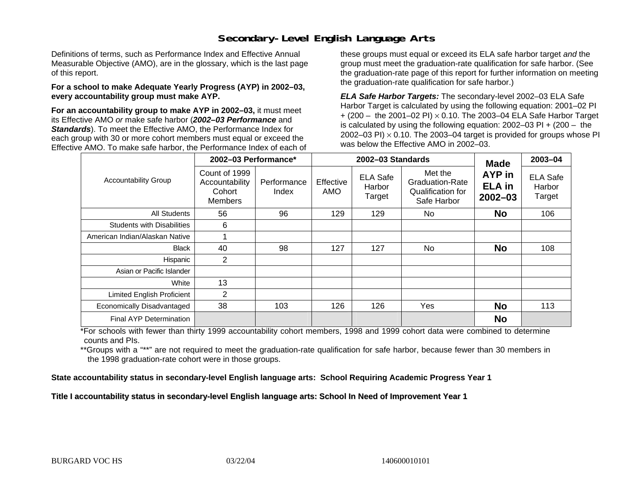# **Secondary-Level English Language Arts**

Definitions of terms, such as Performance Index and Effective Annual Measurable Objective (AMO), are in the glossary, which is the last page of this report.

#### **For a school to make Adequate Yearly Progress (AYP) in 2002–03, every accountability group must make AYP.**

**For an accountability group to make AYP in 2002–03,** it must meet its Effective AMO *or* make safe harbor (*2002–03 Performance* and *Standards*). To meet the Effective AMO, the Performance Index for each group with 30 or more cohort members must equal or exceed the Effective AMO. To make safe harbor, the Performance Index of each of these groups must equal or exceed its ELA safe harbor target *and* the group must meet the graduation-rate qualification for safe harbor. (See the graduation-rate page of this report for further information on meeting the graduation-rate qualification for safe harbor.)

*ELA Safe Harbor Targets:* The secondary-level 2002–03 ELA Safe Harbor Target is calculated by using the following equation: 2001–02 PI + (200 – the 2001–02 PI) <sup>×</sup> 0.10. The 2003–04 ELA Safe Harbor Target is calculated by using the following equation: 2002–03 PI + (200 – the 2002–03 PI)  $\times$  0.10. The 2003–04 target is provided for groups whose PI was below the Effective AMO in 2002–03.

|                                   | 2002-03 Performance*                                        |                      | 2002-03 Standards |                                     |                                                                       | <b>Made</b>                            | 2003-04                             |
|-----------------------------------|-------------------------------------------------------------|----------------------|-------------------|-------------------------------------|-----------------------------------------------------------------------|----------------------------------------|-------------------------------------|
| <b>Accountability Group</b>       | Count of 1999<br>Accountability<br>Cohort<br><b>Members</b> | Performance<br>Index | Effective<br>AMO  | <b>ELA Safe</b><br>Harbor<br>Target | Met the<br><b>Graduation-Rate</b><br>Qualification for<br>Safe Harbor | AYP in<br><b>ELA</b> in<br>$2002 - 03$ | <b>ELA Safe</b><br>Harbor<br>Target |
| All Students                      | 56                                                          | 96                   | 129               | 129                                 | No.                                                                   | <b>No</b>                              | 106                                 |
| <b>Students with Disabilities</b> | 6                                                           |                      |                   |                                     |                                                                       |                                        |                                     |
| American Indian/Alaskan Native    |                                                             |                      |                   |                                     |                                                                       |                                        |                                     |
| <b>Black</b>                      | 40                                                          | 98                   | 127               | 127                                 | No                                                                    | <b>No</b>                              | 108                                 |
| Hispanic                          | $\overline{2}$                                              |                      |                   |                                     |                                                                       |                                        |                                     |
| Asian or Pacific Islander         |                                                             |                      |                   |                                     |                                                                       |                                        |                                     |
| White                             | 13                                                          |                      |                   |                                     |                                                                       |                                        |                                     |
| Limited English Proficient        | 2                                                           |                      |                   |                                     |                                                                       |                                        |                                     |
| Economically Disadvantaged        | 38                                                          | 103                  | 126               | 126                                 | Yes                                                                   | <b>No</b>                              | 113                                 |
| <b>Final AYP Determination</b>    |                                                             |                      |                   |                                     |                                                                       | No                                     |                                     |

\*For schools with fewer than thirty 1999 accountability cohort members, 1998 and 1999 cohort data were combined to determine counts and PIs.

\*\*Groups with a "\*\*" are not required to meet the graduation-rate qualification for safe harbor, because fewer than 30 members in the 1998 graduation-rate cohort were in those groups.

**State accountability status in secondary-level English language arts: School Requiring Academic Progress Year 1** 

Title I accountability status in secondary-level English language arts: School In Need of Improvement Year 1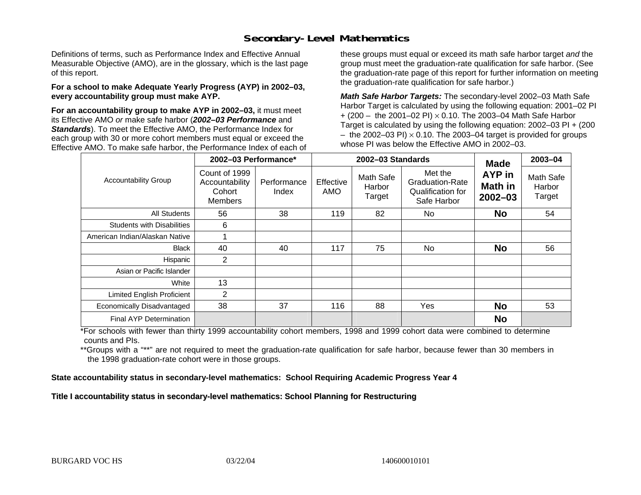# **Secondary-Level Mathematics**

Definitions of terms, such as Performance Index and Effective Annual Measurable Objective (AMO), are in the glossary, which is the last page of this report.

#### **For a school to make Adequate Yearly Progress (AYP) in 2002–03, every accountability group must make AYP.**

**For an accountability group to make AYP in 2002–03,** it must meet its Effective AMO *or* make safe harbor (*2002–03 Performance* and *Standards*). To meet the Effective AMO, the Performance Index for each group with 30 or more cohort members must equal or exceed the Effective AMO. To make safe harbor, the Performance Index of each of these groups must equal or exceed its math safe harbor target *and* the group must meet the graduation-rate qualification for safe harbor. (See the graduation-rate page of this report for further information on meeting the graduation-rate qualification for safe harbor.)

*Math Safe Harbor Targets:* The secondary-level 2002–03 Math Safe Harbor Target is calculated by using the following equation: 2001–02 PI + (200 – the 2001–02 PI) × 0.10. The 2003–04 Math Safe Harbor Target is calculated by using the following equation: 2002–03 PI + (200  $-$  the 2002–03 PI)  $\times$  0.10. The 2003–04 target is provided for groups whose PI was below the Effective AMO in 2002–03.

|                                   | 2002-03 Performance*                                 |                      | 2002-03 Standards |                               |                                                                       | <b>Made</b>                      | 2003-04                       |
|-----------------------------------|------------------------------------------------------|----------------------|-------------------|-------------------------------|-----------------------------------------------------------------------|----------------------------------|-------------------------------|
| <b>Accountability Group</b>       | Count of 1999<br>Accountability<br>Cohort<br>Members | Performance<br>Index | Effective<br>AMO  | Math Safe<br>Harbor<br>Target | Met the<br><b>Graduation-Rate</b><br>Qualification for<br>Safe Harbor | AYP in<br>Math in<br>$2002 - 03$ | Math Safe<br>Harbor<br>Target |
| All Students                      | 56                                                   | 38                   | 119               | 82                            | No.                                                                   | <b>No</b>                        | 54                            |
| <b>Students with Disabilities</b> | 6                                                    |                      |                   |                               |                                                                       |                                  |                               |
| American Indian/Alaskan Native    |                                                      |                      |                   |                               |                                                                       |                                  |                               |
| <b>Black</b>                      | 40                                                   | 40                   | 117               | 75                            | No                                                                    | <b>No</b>                        | 56                            |
| Hispanic                          | $\overline{2}$                                       |                      |                   |                               |                                                                       |                                  |                               |
| Asian or Pacific Islander         |                                                      |                      |                   |                               |                                                                       |                                  |                               |
| White                             | 13                                                   |                      |                   |                               |                                                                       |                                  |                               |
| Limited English Proficient        | 2                                                    |                      |                   |                               |                                                                       |                                  |                               |
| Economically Disadvantaged        | 38                                                   | 37                   | 116               | 88                            | Yes                                                                   | <b>No</b>                        | 53                            |
| Final AYP Determination           |                                                      |                      |                   |                               |                                                                       | <b>No</b>                        |                               |

\*For schools with fewer than thirty 1999 accountability cohort members, 1998 and 1999 cohort data were combined to determine counts and PIs.

\*\*Groups with a "\*\*" are not required to meet the graduation-rate qualification for safe harbor, because fewer than 30 members in the 1998 graduation-rate cohort were in those groups.

**State accountability status in secondary-level mathematics: School Requiring Academic Progress Year 4** 

Title I accountability status in secondary-level mathematics: School Planning for Restructuring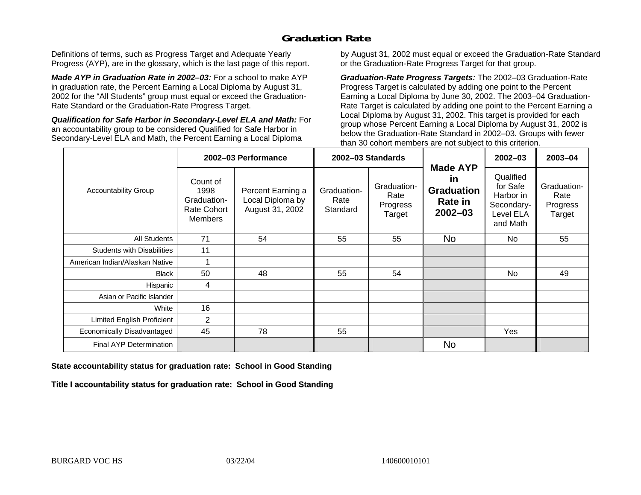# **Graduation Rate**

Definitions of terms, such as Progress Target and Adequate Yearly Progress (AYP), are in the glossary, which is the last page of this report.

*Made AYP in Graduation Rate in 2002–03:* For a school to make AYP in graduation rate, the Percent Earning a Local Diploma by August 31, 2002 for the "All Students" group must equal or exceed the Graduation-Rate Standard or the Graduation-Rate Progress Target.

*Qualification for Safe Harbor in Secondary-Level ELA and Math:* For an accountability group to be considered Qualified for Safe Harbor in Secondary-Level ELA and Math, the Percent Earning a Local Diploma

by August 31, 2002 must equal or exceed the Graduation-Rate Standard or the Graduation-Rate Progress Target for that group.

*Graduation-Rate Progress Targets:* The 2002–03 Graduation-Rate Progress Target is calculated by adding one point to the Percent Earning a Local Diploma by June 30, 2002. The 2003–04 Graduation-Rate Target is calculated by adding one point to the Percent Earning a Local Diploma by August 31, 2002. This target is provided for each group whose Percent Earning a Local Diploma by August 31, 2002 is below the Graduation-Rate Standard in 2002–03. Groups with fewer than 30 cohort members are not subject to this criterion.

|                                   | 2002-03 Performance                                              |                                                          | 2002-03 Standards               |                                           |                                                                                    | $2002 - 03$                                                               | 2003-04                                   |
|-----------------------------------|------------------------------------------------------------------|----------------------------------------------------------|---------------------------------|-------------------------------------------|------------------------------------------------------------------------------------|---------------------------------------------------------------------------|-------------------------------------------|
| <b>Accountability Group</b>       | Count of<br>1998<br>Graduation-<br>Rate Cohort<br><b>Members</b> | Percent Earning a<br>Local Diploma by<br>August 31, 2002 | Graduation-<br>Rate<br>Standard | Graduation-<br>Rate<br>Progress<br>Target | <b>Made AYP</b><br><u>in</u><br><b>Graduation</b><br><b>Rate in</b><br>$2002 - 03$ | Qualified<br>for Safe<br>Harbor in<br>Secondary-<br>Level ELA<br>and Math | Graduation-<br>Rate<br>Progress<br>Target |
| All Students                      | 71                                                               | 54                                                       | 55                              | 55                                        | <b>No</b>                                                                          | No.                                                                       | 55                                        |
| <b>Students with Disabilities</b> | 11                                                               |                                                          |                                 |                                           |                                                                                    |                                                                           |                                           |
| American Indian/Alaskan Native    |                                                                  |                                                          |                                 |                                           |                                                                                    |                                                                           |                                           |
| <b>Black</b>                      | 50                                                               | 48                                                       | 55                              | 54                                        |                                                                                    | No.                                                                       | 49                                        |
| Hispanic                          | 4                                                                |                                                          |                                 |                                           |                                                                                    |                                                                           |                                           |
| Asian or Pacific Islander         |                                                                  |                                                          |                                 |                                           |                                                                                    |                                                                           |                                           |
| White                             | 16                                                               |                                                          |                                 |                                           |                                                                                    |                                                                           |                                           |
| Limited English Proficient        | $\overline{2}$                                                   |                                                          |                                 |                                           |                                                                                    |                                                                           |                                           |
| Economically Disadvantaged        | 45                                                               | 78                                                       | 55                              |                                           |                                                                                    | Yes                                                                       |                                           |
| <b>Final AYP Determination</b>    |                                                                  |                                                          |                                 |                                           | <b>No</b>                                                                          |                                                                           |                                           |

#### **State accountability status for graduation rate: School in Good Standing**

Title I accountability status for graduation rate: School in Good Standing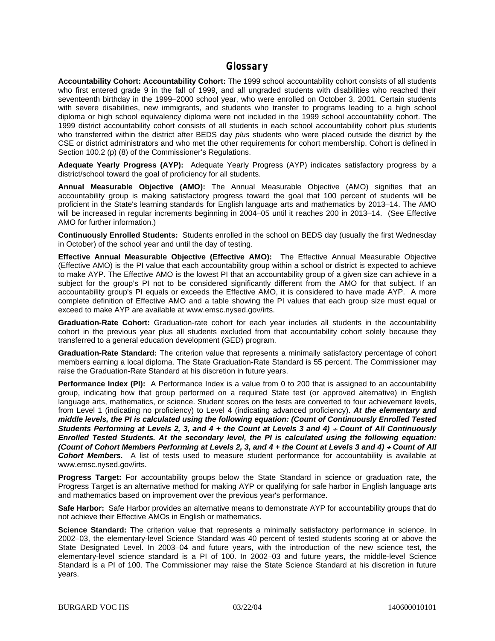#### **Glossary**

**Accountability Cohort: Accountability Cohort:** The 1999 school accountability cohort consists of all students who first entered grade 9 in the fall of 1999, and all ungraded students with disabilities who reached their seventeenth birthday in the 1999–2000 school year, who were enrolled on October 3, 2001. Certain students with severe disabilities, new immigrants, and students who transfer to programs leading to a high school diploma or high school equivalency diploma were not included in the 1999 school accountability cohort. The 1999 district accountability cohort consists of all students in each school accountability cohort plus students who transferred within the district after BEDS day *plus* students who were placed outside the district by the CSE or district administrators and who met the other requirements for cohort membership. Cohort is defined in Section 100.2 (p) (8) of the Commissioner's Regulations.

**Adequate Yearly Progress (AYP):** Adequate Yearly Progress (AYP) indicates satisfactory progress by a district/school toward the goal of proficiency for all students.

**Annual Measurable Objective (AMO):** The Annual Measurable Objective (AMO) signifies that an accountability group is making satisfactory progress toward the goal that 100 percent of students will be proficient in the State's learning standards for English language arts and mathematics by 2013–14. The AMO will be increased in regular increments beginning in 2004–05 until it reaches 200 in 2013–14. (See Effective AMO for further information.)

**Continuously Enrolled Students:** Students enrolled in the school on BEDS day (usually the first Wednesday in October) of the school year and until the day of testing.

**Effective Annual Measurable Objective (Effective AMO):** The Effective Annual Measurable Objective (Effective AMO) is the PI value that each accountability group within a school or district is expected to achieve to make AYP. The Effective AMO is the lowest PI that an accountability group of a given size can achieve in a subject for the group's PI not to be considered significantly different from the AMO for that subject. If an accountability group's PI equals or exceeds the Effective AMO, it is considered to have made AYP. A more complete definition of Effective AMO and a table showing the PI values that each group size must equal or exceed to make AYP are available at www.emsc.nysed.gov/irts.

**Graduation-Rate Cohort:** Graduation-rate cohort for each year includes all students in the accountability cohort in the previous year plus all students excluded from that accountability cohort solely because they transferred to a general education development (GED) program.

**Graduation-Rate Standard:** The criterion value that represents a minimally satisfactory percentage of cohort members earning a local diploma. The State Graduation-Rate Standard is 55 percent. The Commissioner may raise the Graduation-Rate Standard at his discretion in future years.

**Performance Index (PI):** A Performance Index is a value from 0 to 200 that is assigned to an accountability group, indicating how that group performed on a required State test (or approved alternative) in English language arts, mathematics, or science. Student scores on the tests are converted to four achievement levels, from Level 1 (indicating no proficiency) to Level 4 (indicating advanced proficiency). *At the elementary and middle levels, the PI is calculated using the following equation: (Count of Continuously Enrolled Tested Students Performing at Levels 2, 3, and 4 + the Count at Levels 3 and 4) + Count of All Continuously Enrolled Tested Students. At the secondary level, the PI is calculated using the following equation: (Count of Cohort Members Performing at Levels 2, 3, and 4 + the Count at Levels 3 and 4) + Count of All Cohort Members.* A list of tests used to measure student performance for accountability is available at www.emsc.nysed.gov/irts.

**Progress Target:** For accountability groups below the State Standard in science or graduation rate, the Progress Target is an alternative method for making AYP or qualifying for safe harbor in English language arts and mathematics based on improvement over the previous year's performance.

**Safe Harbor:** Safe Harbor provides an alternative means to demonstrate AYP for accountability groups that do not achieve their Effective AMOs in English or mathematics.

**Science Standard:** The criterion value that represents a minimally satisfactory performance in science. In 2002–03, the elementary-level Science Standard was 40 percent of tested students scoring at or above the State Designated Level. In 2003–04 and future years, with the introduction of the new science test, the elementary-level science standard is a PI of 100. In 2002–03 and future years, the middle-level Science Standard is a PI of 100. The Commissioner may raise the State Science Standard at his discretion in future years.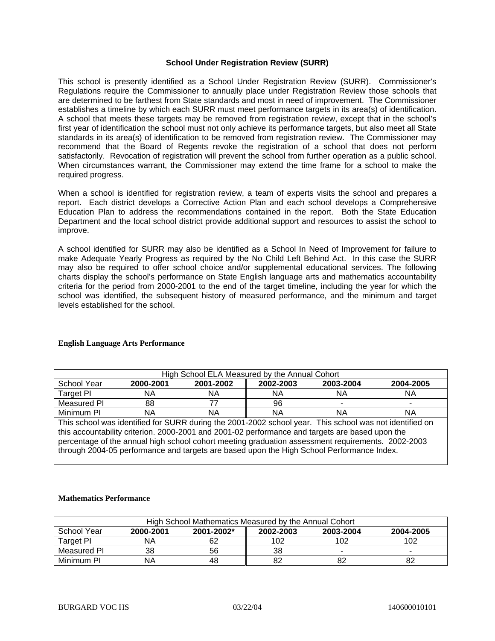#### **School Under Registration Review (SURR)**

This school is presently identified as a School Under Registration Review (SURR). Commissioner's Regulations require the Commissioner to annually place under Registration Review those schools that are determined to be farthest from State standards and most in need of improvement. The Commissioner establishes a timeline by which each SURR must meet performance targets in its area(s) of identification. A school that meets these targets may be removed from registration review, except that in the school's first year of identification the school must not only achieve its performance targets, but also meet all State standards in its area(s) of identification to be removed from registration review. The Commissioner may recommend that the Board of Regents revoke the registration of a school that does not perform satisfactorily. Revocation of registration will prevent the school from further operation as a public school. When circumstances warrant, the Commissioner may extend the time frame for a school to make the required progress.

When a school is identified for registration review, a team of experts visits the school and prepares a report. Each district develops a Corrective Action Plan and each school develops a Comprehensive Education Plan to address the recommendations contained in the report. Both the State Education Department and the local school district provide additional support and resources to assist the school to improve.

A school identified for SURR may also be identified as a School In Need of Improvement for failure to make Adequate Yearly Progress as required by the No Child Left Behind Act. In this case the SURR may also be required to offer school choice and/or supplemental educational services. The following charts display the school's performance on State English language arts and mathematics accountability criteria for the period from 2000-2001 to the end of the target timeline, including the year for which the school was identified, the subsequent history of measured performance, and the minimum and target levels established for the school.

#### **English Language Arts Performance**

| High School ELA Measured by the Annual Cohort                                                           |           |           |           |           |           |  |
|---------------------------------------------------------------------------------------------------------|-----------|-----------|-----------|-----------|-----------|--|
| School Year                                                                                             | 2000-2001 | 2001-2002 | 2002-2003 | 2003-2004 | 2004-2005 |  |
| Target PI                                                                                               | ΝA        | ΝA        | ΝA        | ΝA        | ΝA        |  |
| Measured PI                                                                                             | 88        | 77        | 96        |           |           |  |
| Minimum PI                                                                                              | NA        | ΝA        | ΝA        | ΝA        | ΝA        |  |
| This school was identified for SURR during the 2001-2002 school year. This school was not identified on |           |           |           |           |           |  |
| this accountability criterion. 2000-2001 and 2001-02 performance and targets are based upon the         |           |           |           |           |           |  |

this accountability criterion. 2000-2001 and 2001-02 performance and targets are based upon the percentage of the annual high school cohort meeting graduation assessment requirements. 2002-2003 through 2004-05 performance and targets are based upon the High School Performance Index.

#### **Mathematics Performance**

| High School Mathematics Measured by the Annual Cohort |                                                                |    |     |     |     |  |  |
|-------------------------------------------------------|----------------------------------------------------------------|----|-----|-----|-----|--|--|
| School Year                                           | 2000-2001<br>2001-2002*<br>2003-2004<br>2004-2005<br>2002-2003 |    |     |     |     |  |  |
| Target PI                                             | ΝA                                                             | 62 | 102 | 102 | 102 |  |  |
| Measured PI                                           | 38                                                             | 56 | 38  | ٠   | -   |  |  |
| Minimum PI                                            | ΝA                                                             | 48 | 82  | 82  | 82  |  |  |